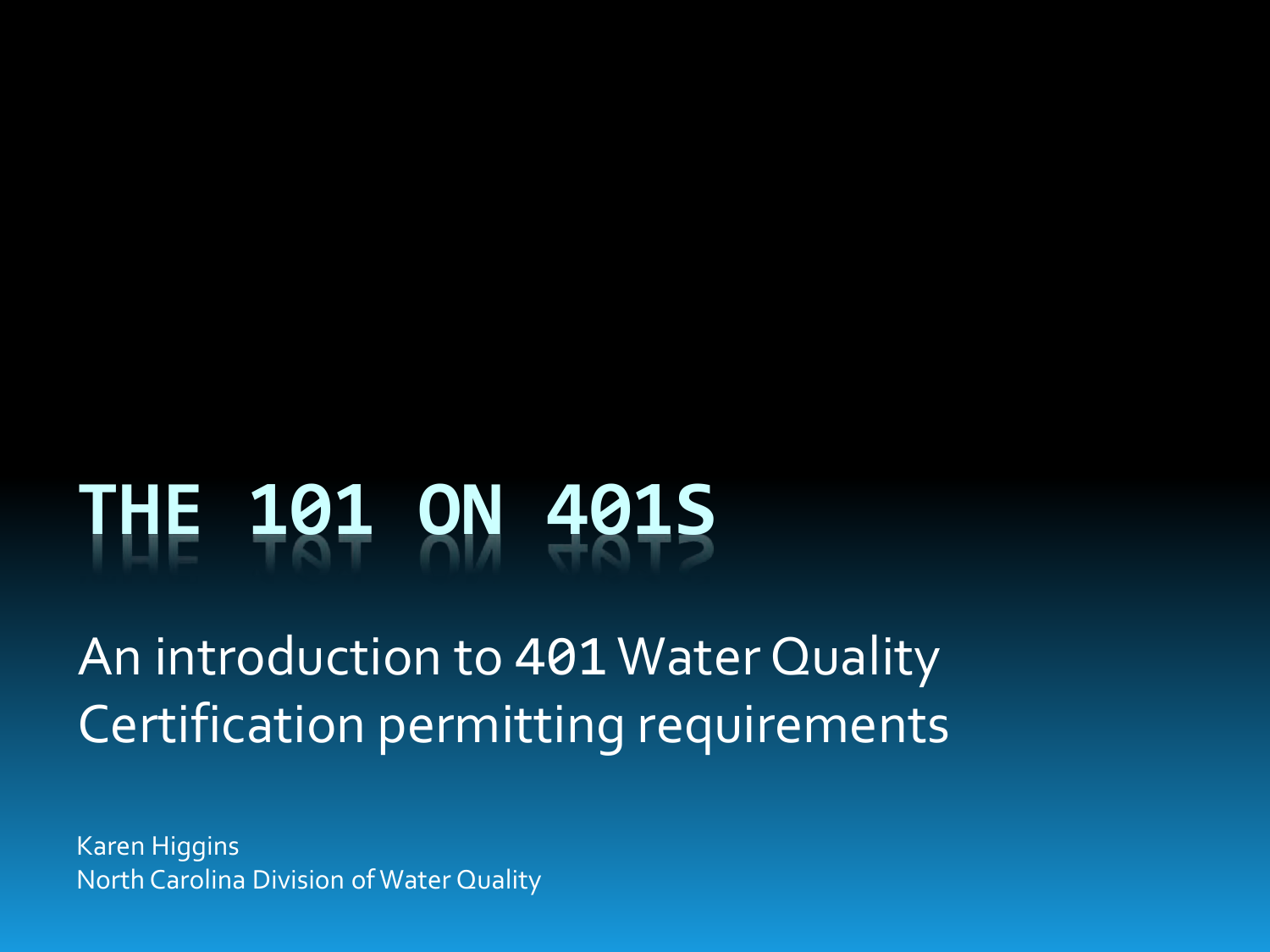# **THE 101 ON 401S**

An introduction to 401 Water Quality Certification permitting requirements

Karen Higgins North Carolina Division of Water Quality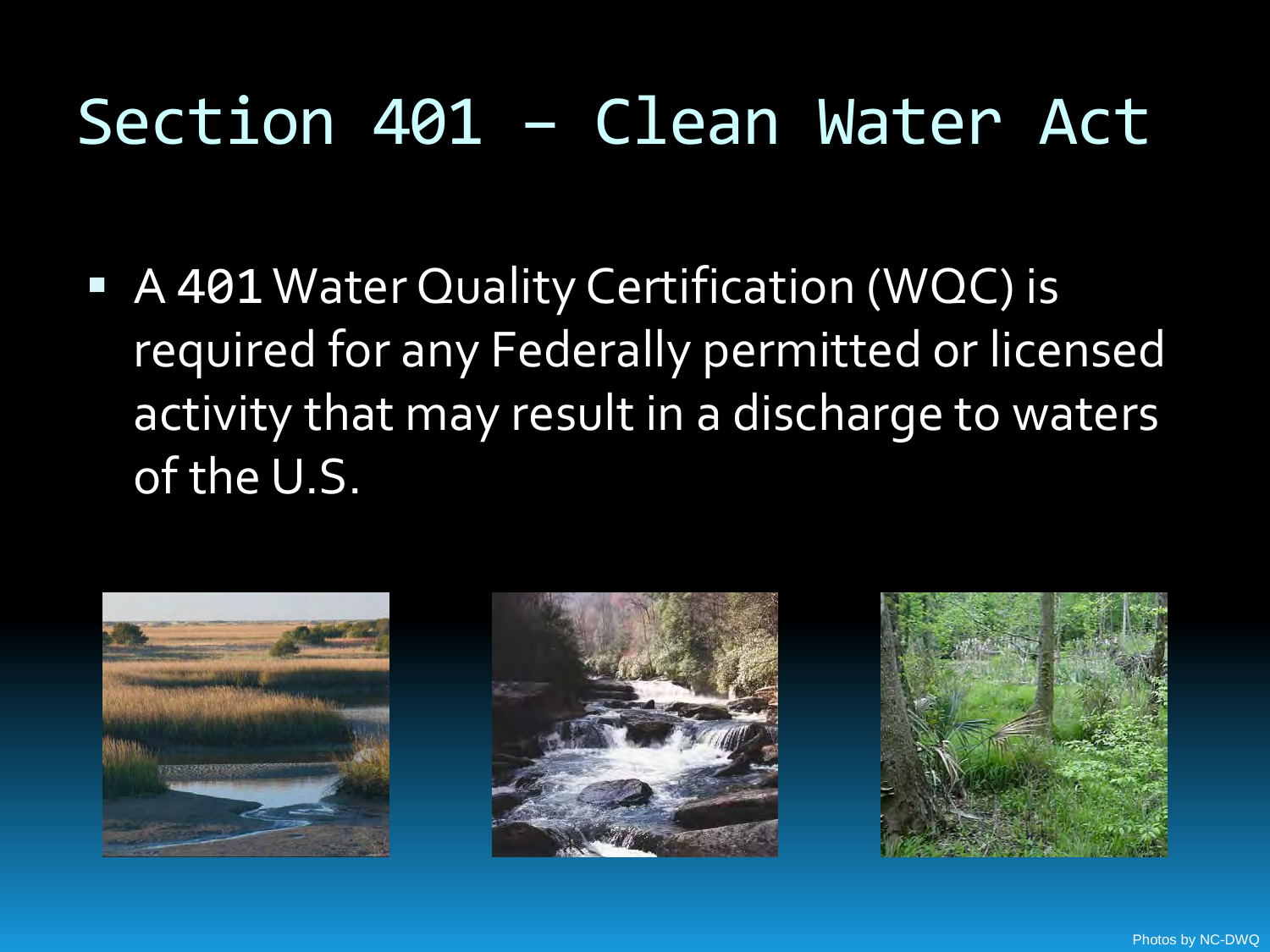## Section 401 – Clean Water Act

■ A 401 Water Quality Certification (WQC) is required for any Federally permitted or licensed activity that may result in a discharge to waters of the U.S.





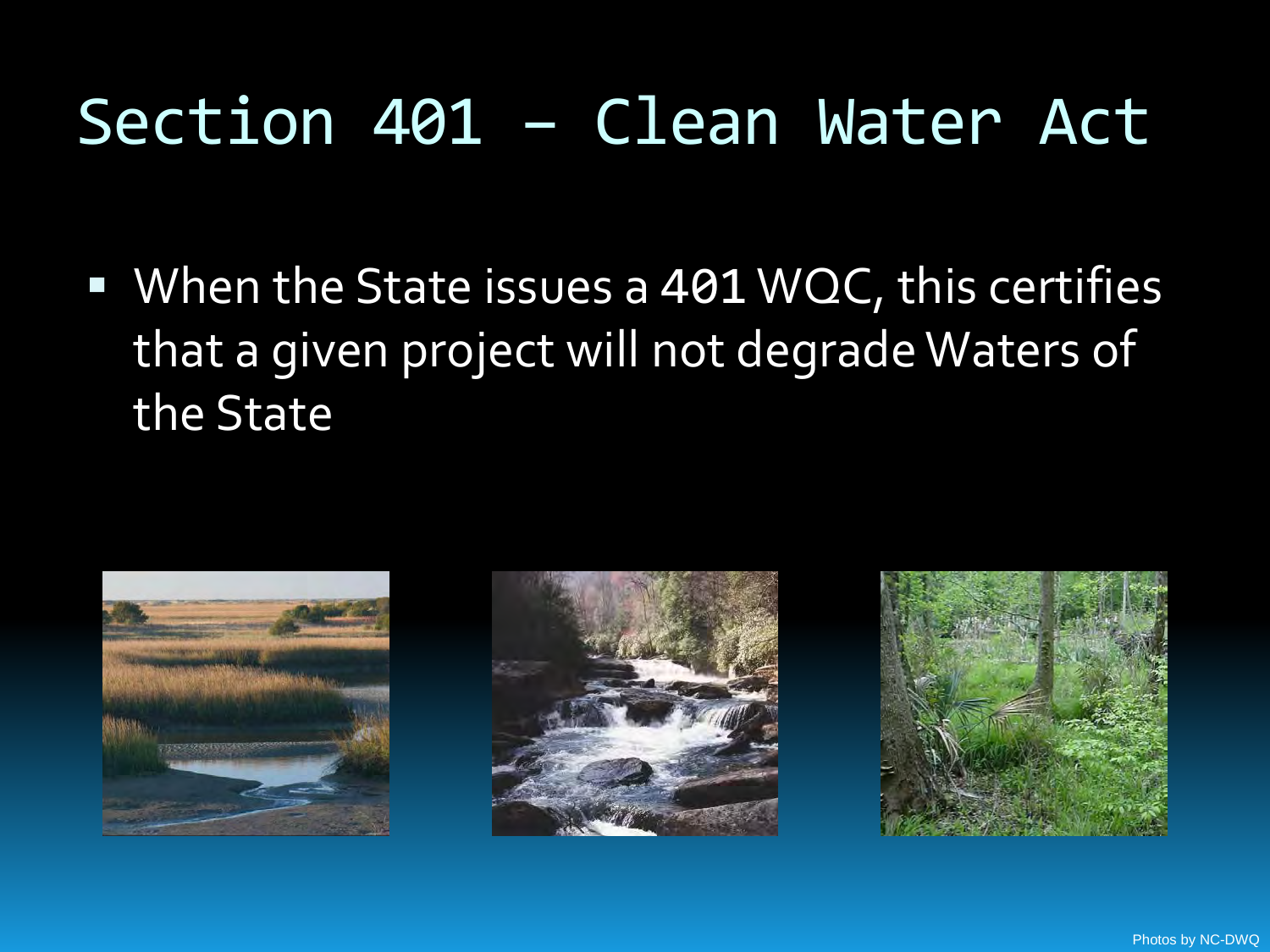## Section 401 – Clean Water Act

■ When the State issues a 401 WQC, this certifies that a given project will not degrade Waters of the State





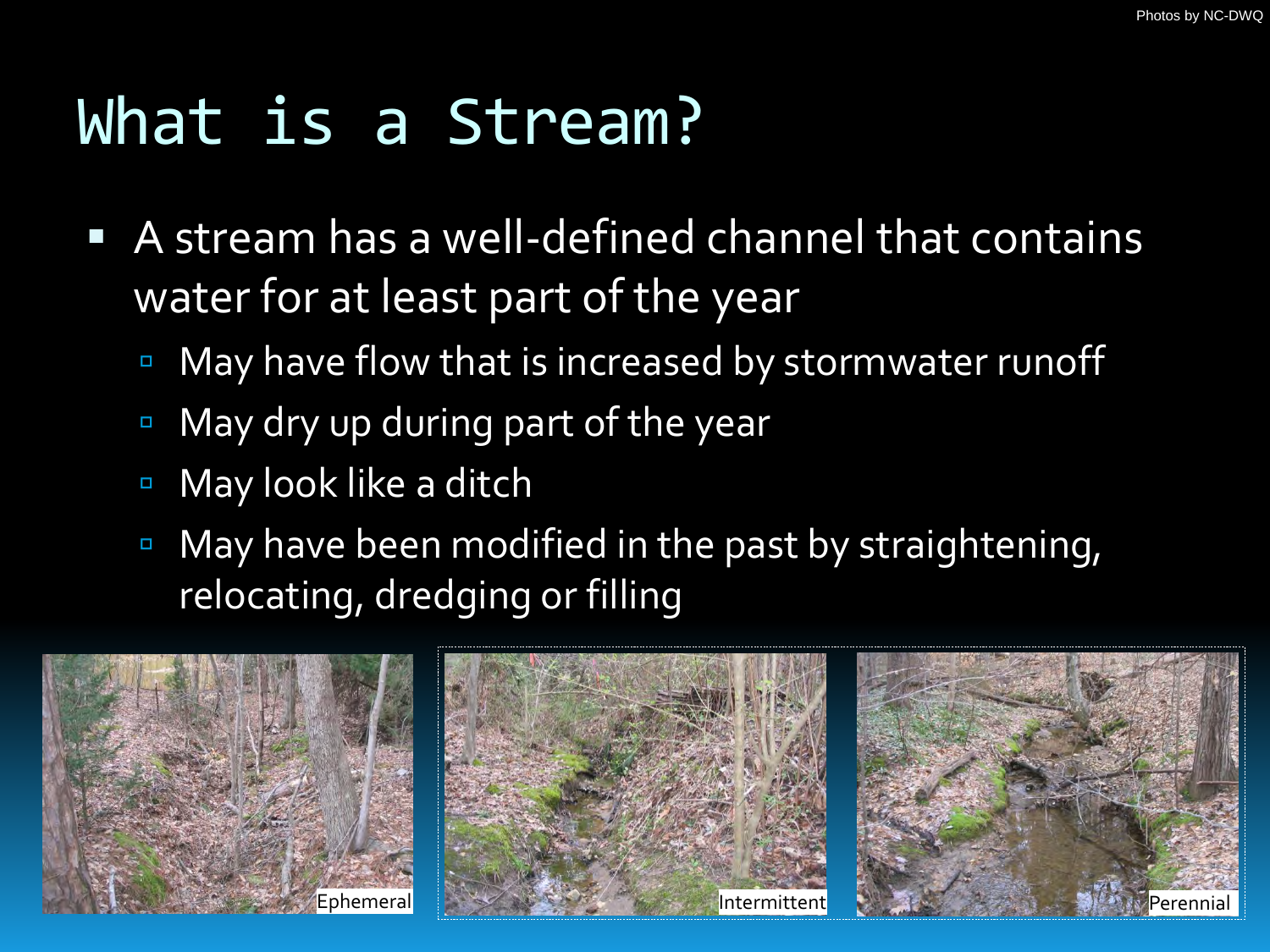# What is a Stream?

- A stream has a well-defined channel that contains water for at least part of the year
	- May have flow that is increased by stormwater runoff
	- May dry up during part of the year
	- May look like a ditch
	- **May have been modified in the past by straightening,** relocating, dredging or filling

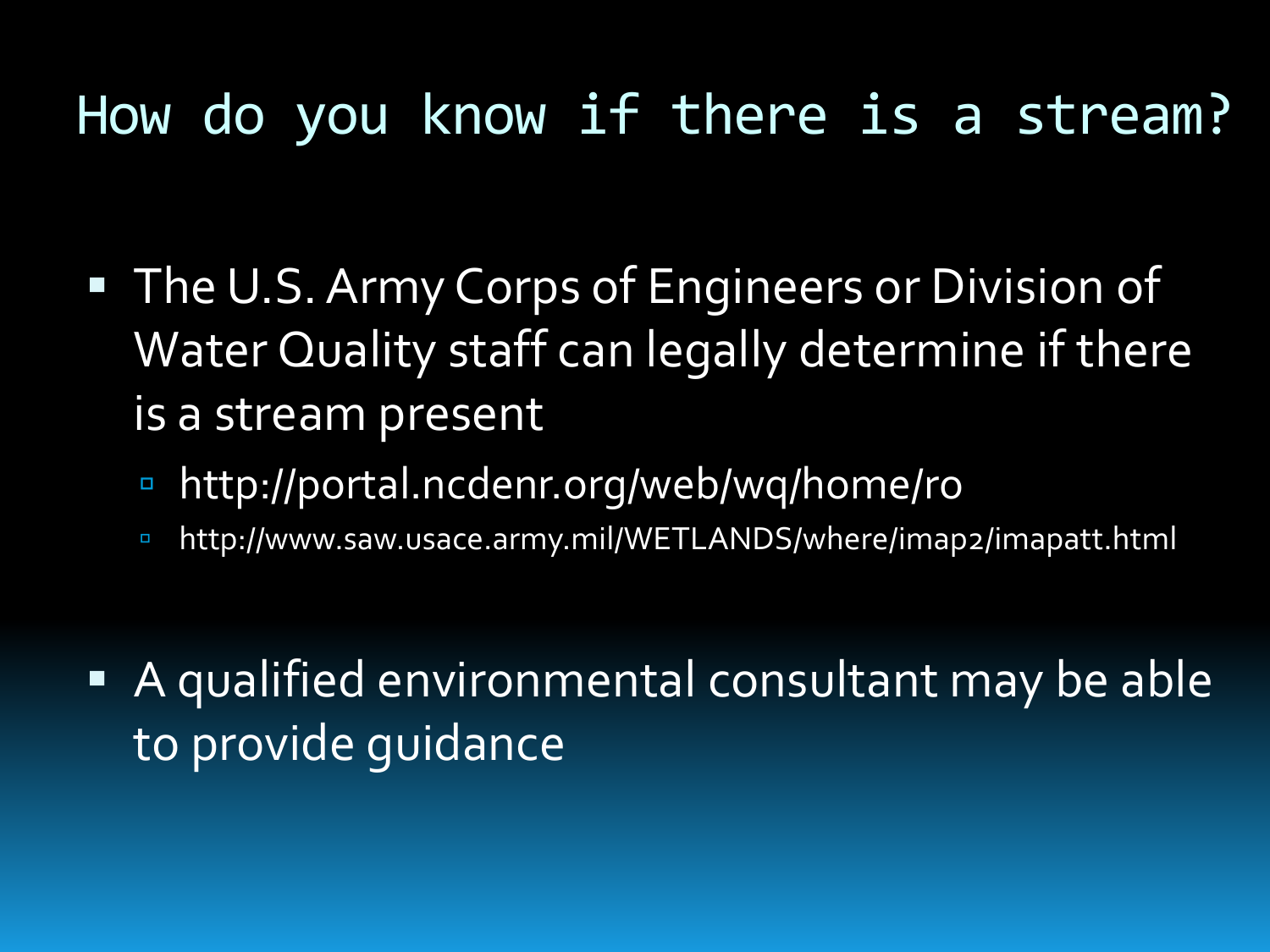#### How do you know if there is a stream?

- **The U.S. Army Corps of Engineers or Division of** Water Quality staff can legally determine if there is a stream present
	- http://portal.ncdenr.org/web/wq/home/ro
	- http://www.saw.usace.army.mil/WETLANDS/where/imap2/imapatt.html
- A qualified environmental consultant may be able to provide guidance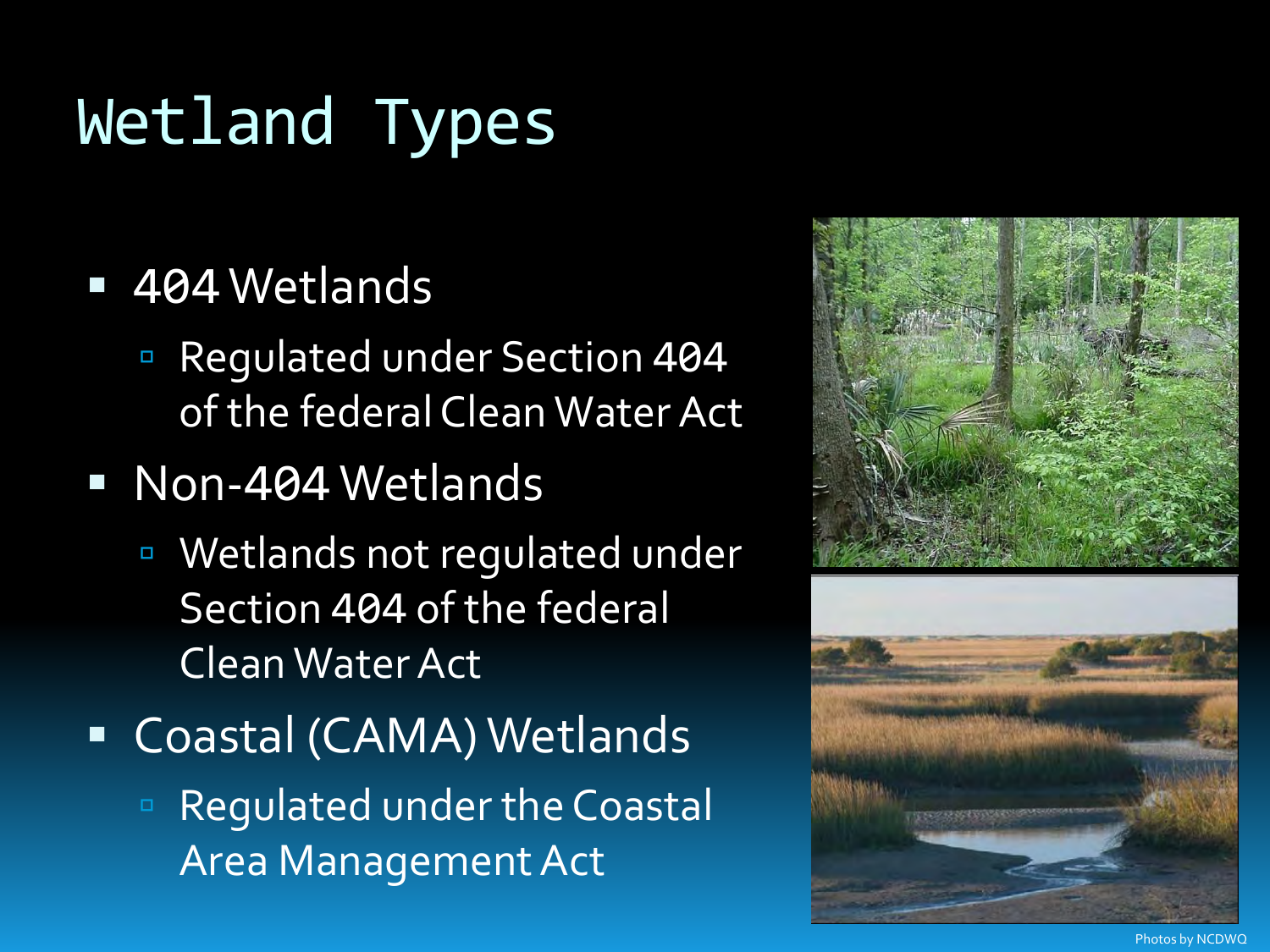# Wetland Types

#### 404 Wetlands

 Regulated under Section 404 of the federal Clean Water Act

#### Non-404 Wetlands

- Wetlands not regulated under Section 404 of the federal Clean Water Act
- Coastal (CAMA) Wetlands
	- Regulated under the Coastal Area Management Act



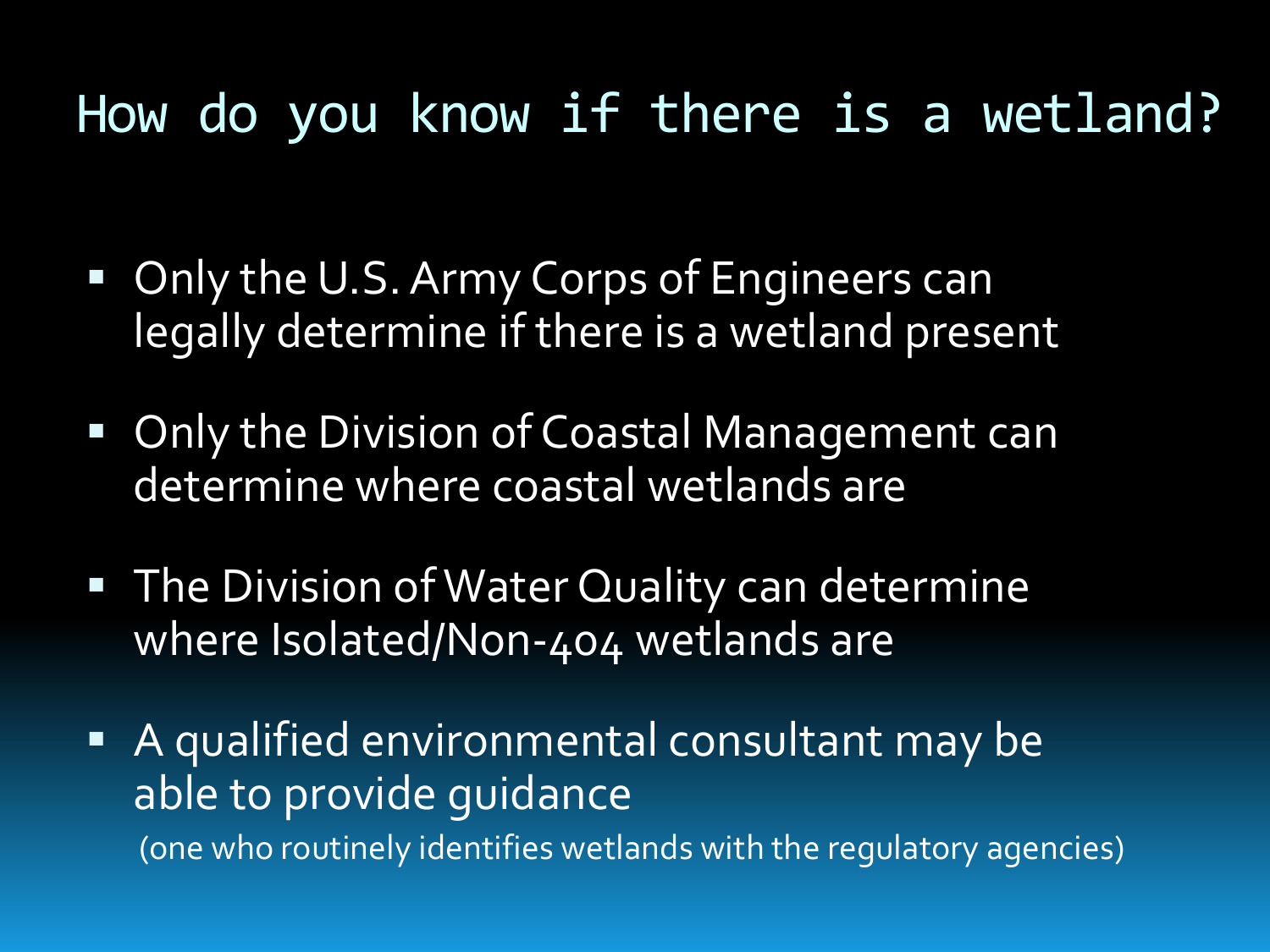#### How do you know if there is a wetland?

- **Only the U.S. Army Corps of Engineers can** legally determine if there is a wetland present
- **Only the Division of Coastal Management can** determine where coastal wetlands are
- **The Division of Water Quality can determine** where Isolated/Non-404 wetlands are
- A qualified environmental consultant may be able to provide guidance (one who routinely identifies wetlands with the regulatory agencies)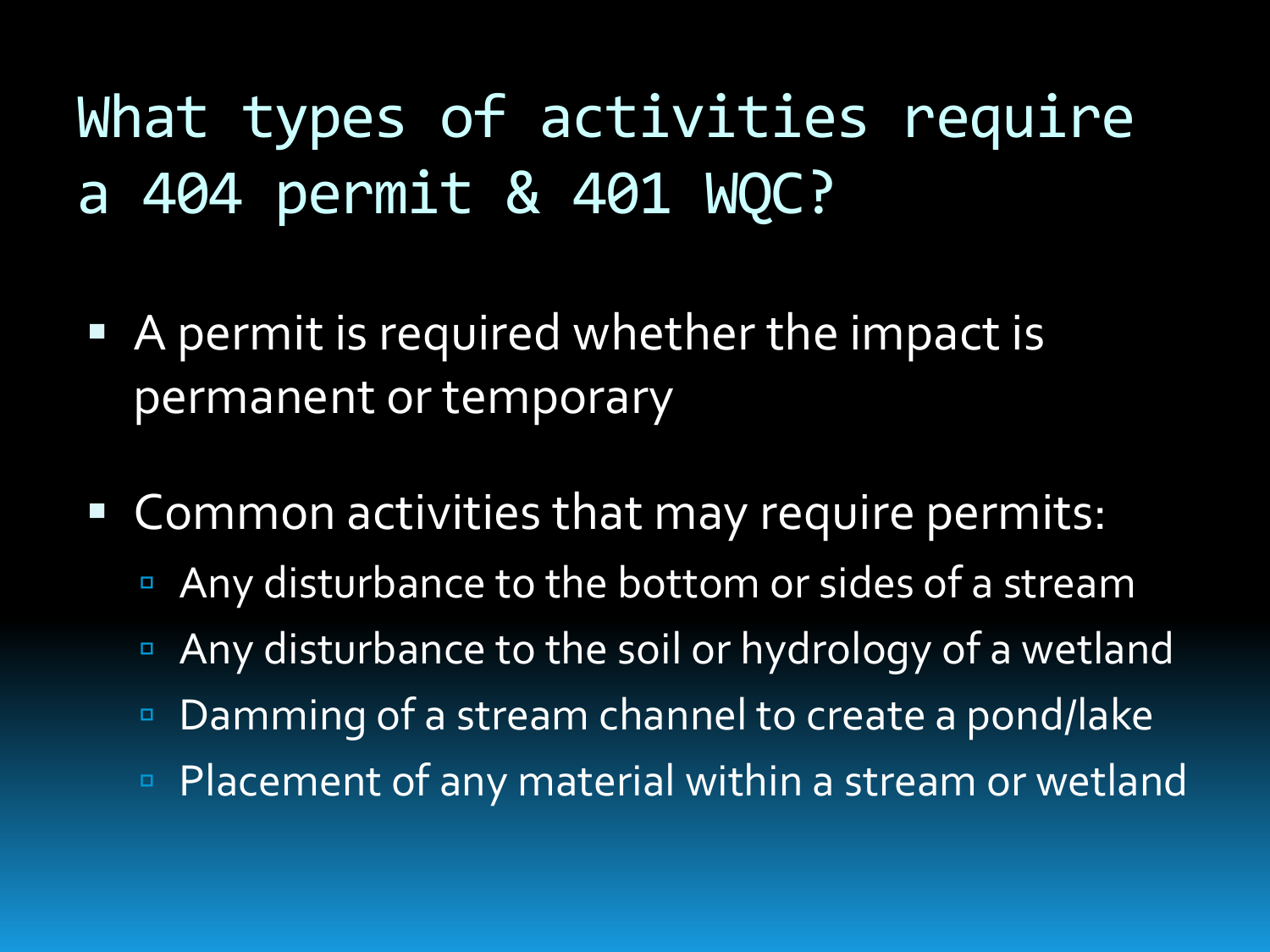What types of activities require a 404 permit & 401 WQC?

- A permit is required whether the impact is permanent or temporary
- **Common activities that may require permits:** 
	- Any disturbance to the bottom or sides of a stream
	- **Any disturbance to the soil or hydrology of a wetland**
	- Damming of a stream channel to create a pond/lake
	- Placement of any material within a stream or wetland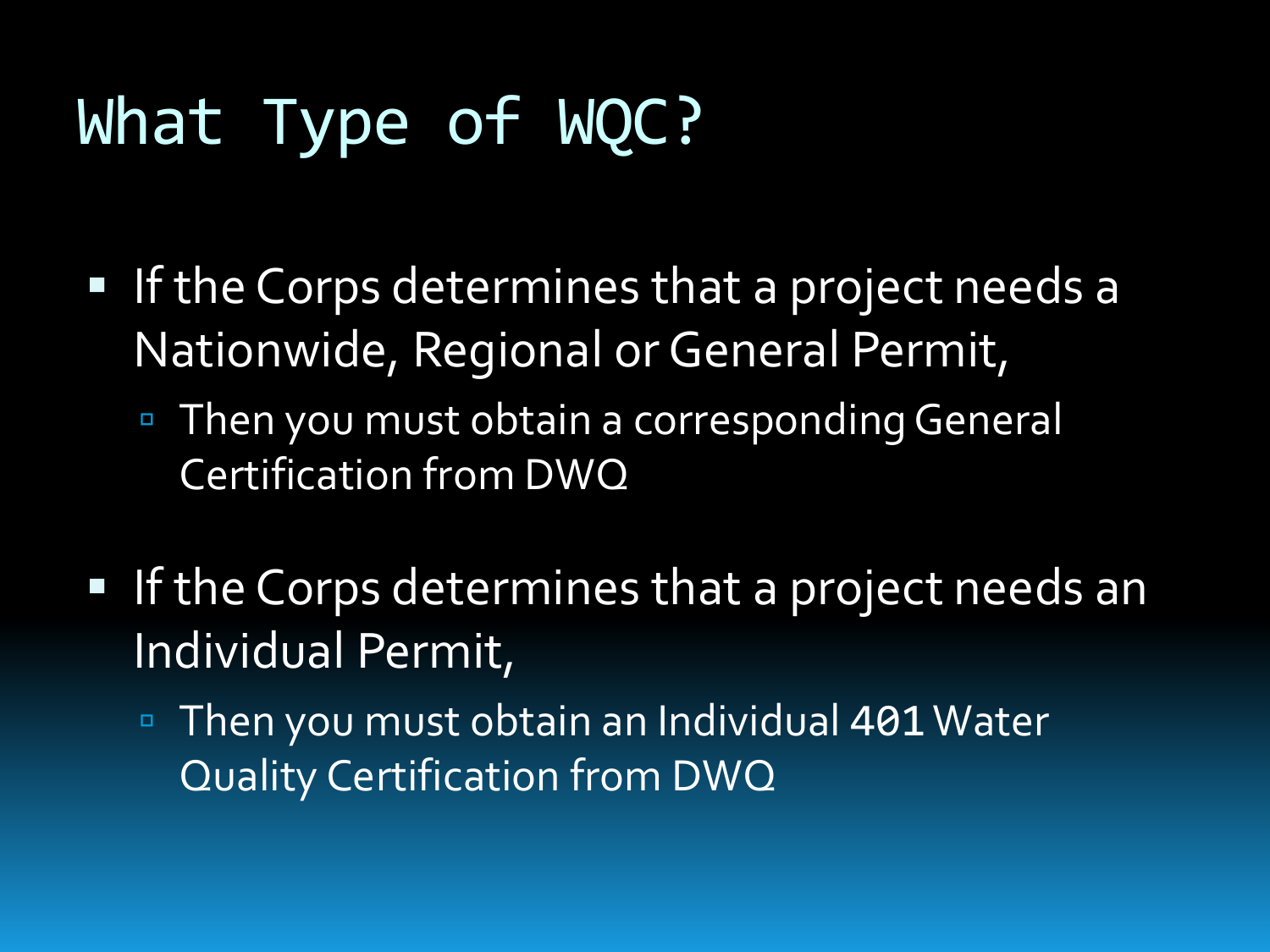# What Type of WQC?

- **If the Corps determines that a project needs a** Nationwide, Regional or General Permit,
	- Then you must obtain a corresponding General Certification from DWQ
- **If the Corps determines that a project needs an** Individual Permit,
	- Then you must obtain an Individual 401 Water Quality Certification from DWQ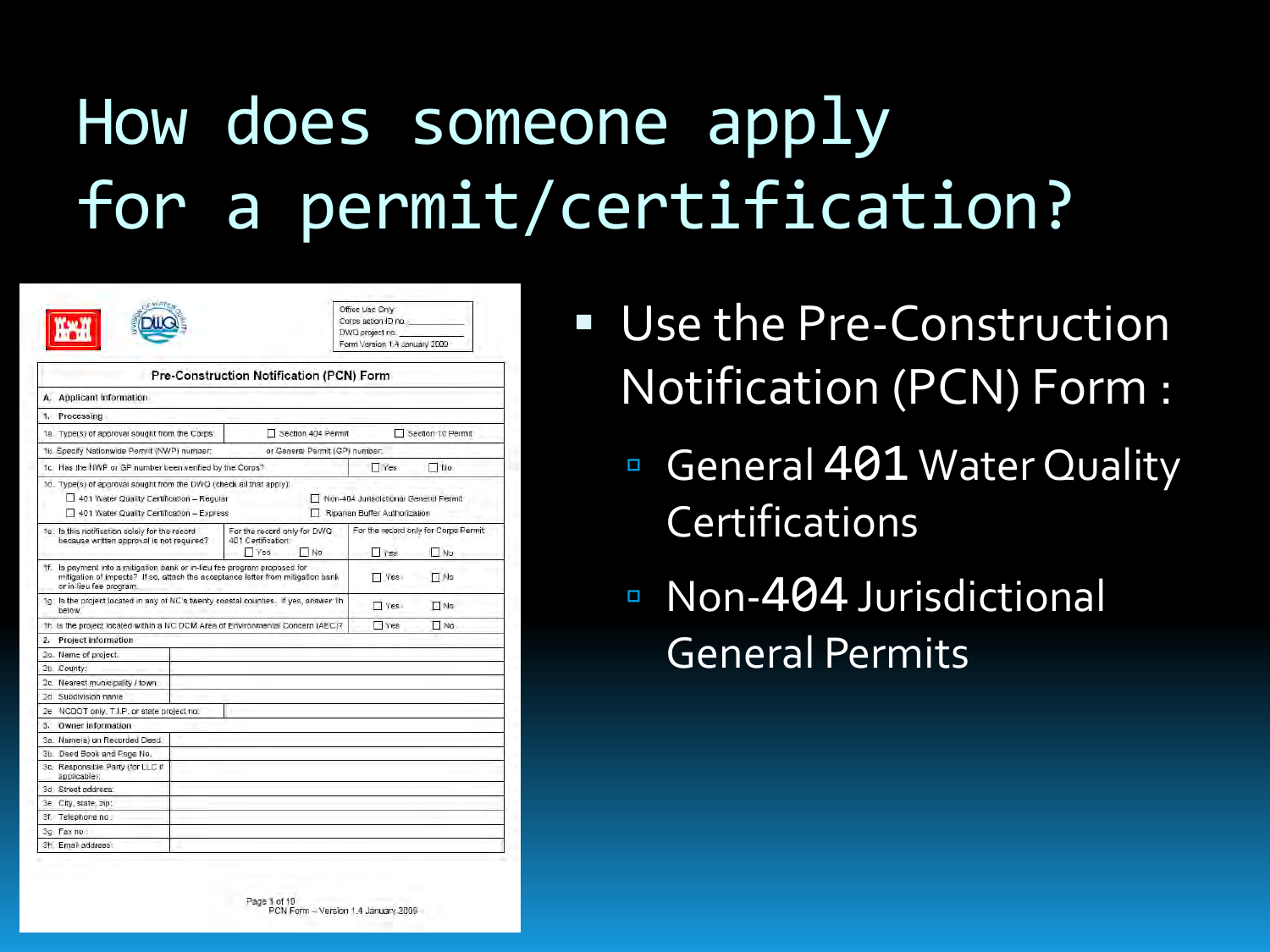# How does someone apply for a permit/certification?

|                                                                                                                                                                                         | Office Use Only<br>Corps action ID no.<br>DWQ project no.<br>Form Version 1.4 January 2009 |                                                                       |             |
|-----------------------------------------------------------------------------------------------------------------------------------------------------------------------------------------|--------------------------------------------------------------------------------------------|-----------------------------------------------------------------------|-------------|
|                                                                                                                                                                                         | Pre-Construction Notification (PCN) Form                                                   |                                                                       |             |
| A. Applicant Information                                                                                                                                                                |                                                                                            |                                                                       |             |
| 1. Processing                                                                                                                                                                           |                                                                                            |                                                                       |             |
| 1a. Type(s) of approval sought from the Corps:                                                                                                                                          | Section 404 Permit                                                                         | Section 10 Permit                                                     |             |
| 16. Specify Nationwide Permit (NWP) number:                                                                                                                                             | or General Permit (GP) number.                                                             |                                                                       |             |
| 1c. Has the NWP or GP number been verified by the Corps?                                                                                                                                |                                                                                            | <b>T</b> Yes                                                          | $\neg$ Mo   |
| 1d. Type(s) of approval sought from the DWO (check all that apply):<br>401 Water Quality Certification - Regular<br>401 Water Quality Certification - Express                           |                                                                                            | Non-404 Jurisdictional General Permit<br>Ripanan Buffer Authorization |             |
| 1e. Is this notification solely for the record<br>because written approval is not required?                                                                                             | For the record only for Corps Permit:<br><b>Tres</b><br>N <sub>0</sub>                     |                                                                       |             |
| 1f. Is payment into a mitigation bank or in-lieu fee program proposed for<br>mitigation of impacts? If so, attach the acceptance letter from mitigation bank<br>or in-lieu fee program. |                                                                                            | Ves                                                                   | <b>TING</b> |
| 1g. Is the project located in any of NC's twenty coastal counties. If yes, answer 1h<br>below.                                                                                          | Yes                                                                                        | $\Box$ No                                                             |             |
| th. Is the project located within a NC DCM Area of Environmental Concern (AEC)?                                                                                                         | <b>Ves</b>                                                                                 | NQ                                                                    |             |
| Project Information<br>2.                                                                                                                                                               |                                                                                            |                                                                       |             |
| 2a. Name of project:                                                                                                                                                                    |                                                                                            |                                                                       |             |
| 2b. County:                                                                                                                                                                             |                                                                                            |                                                                       |             |
| 2c. Nearest municipality / town:                                                                                                                                                        |                                                                                            |                                                                       |             |
| 2d Subdivision name                                                                                                                                                                     |                                                                                            |                                                                       |             |
| 2e NCDOT only, T.I.P. or state project no:                                                                                                                                              |                                                                                            |                                                                       |             |
| Owner Information<br>3.                                                                                                                                                                 |                                                                                            |                                                                       |             |
| 3a. Name(s) on Recorded Deed:                                                                                                                                                           |                                                                                            |                                                                       |             |
| 3b. Deed Book and Page No.                                                                                                                                                              |                                                                                            |                                                                       |             |
| 3c. Responsible Party (for LLC if<br>applicable):                                                                                                                                       |                                                                                            |                                                                       |             |
| 3d Street address:                                                                                                                                                                      |                                                                                            |                                                                       |             |
| 3e. City, state, zip:                                                                                                                                                                   |                                                                                            |                                                                       |             |
| 3f. Telephone no :                                                                                                                                                                      |                                                                                            |                                                                       |             |
| 3a Fax ho.                                                                                                                                                                              |                                                                                            |                                                                       |             |
| 3h. Email address:                                                                                                                                                                      |                                                                                            |                                                                       |             |

- Use the Pre-Construction Notification (PCN) Form :
	- General 401 Water Quality **Certifications**
	- Non-404 Jurisdictional General Permits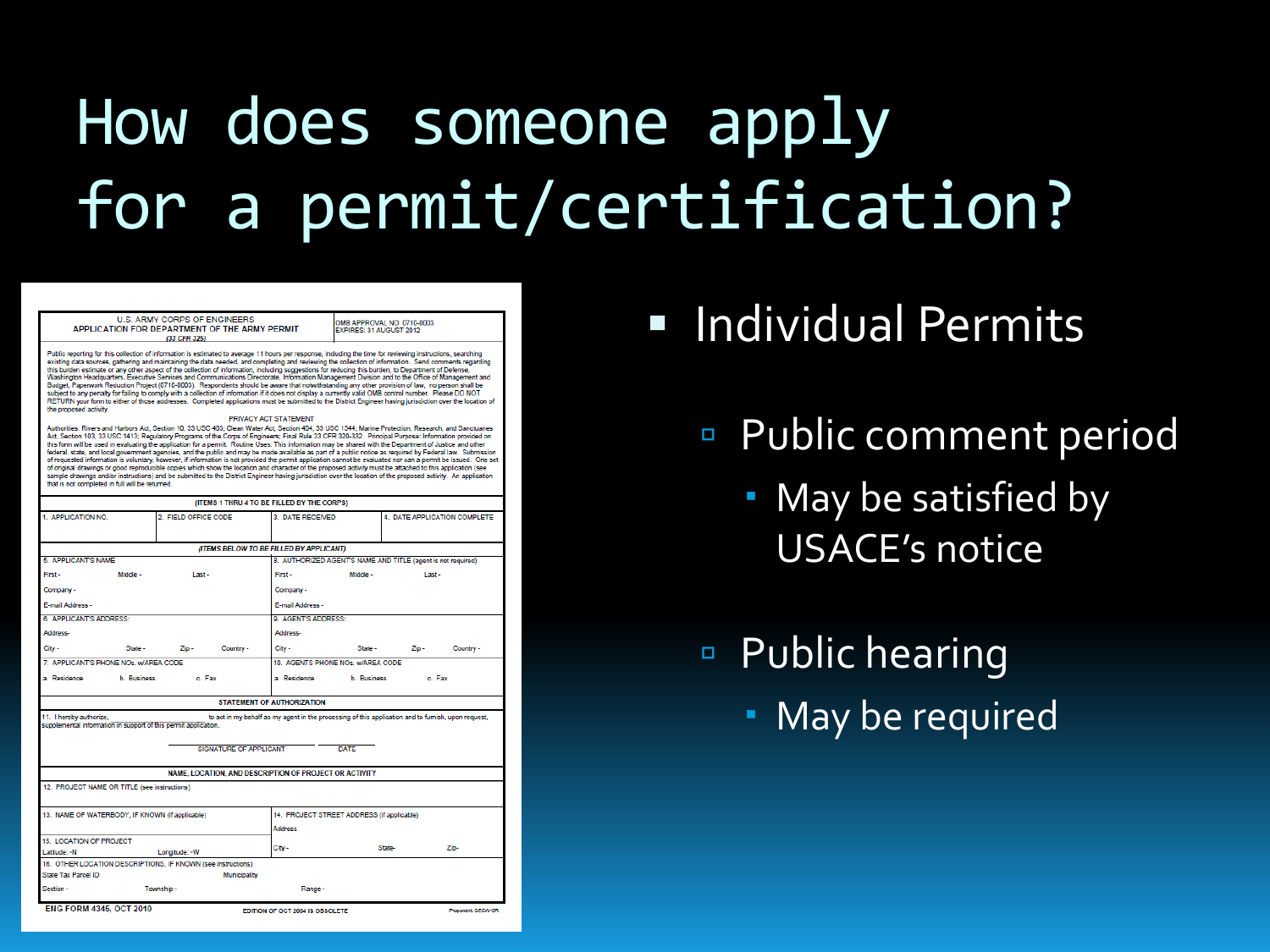# How does someone apply for a permit/certification?

U.S. ARMY CORPS OF ENGINEERS APPLICATION FOR DEPARTMENT OF THE ARMY PERMIT (33 CFR 325)

OMB APPROVAL NO. 0710-0003 **EXPIRES: 31 AUGUST 2012** 

Public reporting for this collection of information is estimated to average 11 hours per response, including the time for reviewing instructions, searching existing data sources, gathering and maintaining the data needed, and completing and reviewing the collection of information. Send comments regarding this burden estimate of any other aspect of the collection of information, including suggestions for reducing this burden, to Department of Defense,<br>Washington Headquarters, Executive Services and Communications Directorat subject to any penalty for failing to comply with a collection of information if it does not display a currently valid OMB control number. Please DO NOT RETURN your form to either of those addresses. Completed applications must be submitted to the District Engineer having jurisdiction over the location of the proposed activity

#### PRIVACY ACT STATEMENT

Authorities: Rivers and Harbors Act, Section 10, 33 USC 403; Clean Water Act, Section 404, 33 USC 1344; Marine Protection, Research, and Sanctuaries Act, Section 103, 33 USC 1413; Regulatory Programs of the Corps of Engineers; Final Rule 33 CFR 320-332. Principal Purpose: Information provided on this form will be used in evaluating the application for a permit. Routine Uses: This information may be shared with the Department of Justice and other federal, state, and local government agencies, and the public and may be made available as part of a public notice as required by Federal law. Submission<br>of requested information is voluntary, however, if information is no stample drawings and/or instructions) and be submitted to the District Engineer having jurisdiction over the location of the proposed activity. An application<br>that is not completed in full will be returned.

|                                                                                                                                                                                                                                            |                      | (ITEMS 1 THRU 4 TO BE FILLED BY THE CORPS) |                   |                              |           |  |  |
|--------------------------------------------------------------------------------------------------------------------------------------------------------------------------------------------------------------------------------------------|----------------------|--------------------------------------------|-------------------|------------------------------|-----------|--|--|
| 1. APPLICATION NO.<br>2. FIELD OFFICE CODE                                                                                                                                                                                                 |                      | 3. DATE RECEIVED                           |                   | 4. DATE APPLICATION COMPLETE |           |  |  |
|                                                                                                                                                                                                                                            |                      | (ITEMS BELOW TO BE FILLED BY APPLICANT)    |                   |                              |           |  |  |
| 8. AUTHORIZED AGENT'S NAME AND TITLE (agent is not required)<br><b>5. APPLICANT'S NAME</b>                                                                                                                                                 |                      |                                            |                   |                              |           |  |  |
| First-<br>Middle -                                                                                                                                                                                                                         | Last-                | First -                                    | Middle -          | Last-                        |           |  |  |
| Company -                                                                                                                                                                                                                                  |                      | Company -                                  |                   |                              |           |  |  |
| E-mail Address -                                                                                                                                                                                                                           | E-mail Address -     |                                            |                   |                              |           |  |  |
| 6. APPLICANT'S ADDRESS:                                                                                                                                                                                                                    |                      | <b>9. AGENT'S ADDRESS:</b>                 |                   |                              |           |  |  |
| Address-                                                                                                                                                                                                                                   |                      | Address-                                   |                   |                              |           |  |  |
| City -<br>State -                                                                                                                                                                                                                          | $ZID -$<br>Country - | City -                                     | State -           | $Z$ ip -                     | Country - |  |  |
| 7 APPLICANT'S PHONE NOs. WAREA CODE                                                                                                                                                                                                        |                      | 10 AGENTS PHONE NOs. w/AREA CODE           |                   |                              |           |  |  |
| a Residence<br><b>b</b> Business                                                                                                                                                                                                           | c. Fax               | a. Residence                               | <b>b</b> Business | c. Fax                       |           |  |  |
|                                                                                                                                                                                                                                            |                      | STATEMENT OF AUTHORIZATION                 |                   |                              |           |  |  |
| to act in my behalf as my agent in the processing of this application and to furnish, upon request,<br>11. I hereby authorize,<br>supplemental information in support of this permit application.<br>SIGNATURE OF APPLICANT<br><b>DATE</b> |                      |                                            |                   |                              |           |  |  |
| NAME. LOCATION, AND DESCRIPTION OF PROJECT OR ACTIVITY                                                                                                                                                                                     |                      |                                            |                   |                              |           |  |  |
| 12. PROJECT NAME OR TITLE (see instructions)                                                                                                                                                                                               |                      |                                            |                   |                              |           |  |  |
| 13. NAME OF WATERBODY, IF KNOWN (if applicable)                                                                                                                                                                                            |                      | 14. PROJECT STREET ADDRESS (if applicable) |                   |                              |           |  |  |
|                                                                                                                                                                                                                                            |                      | Address                                    |                   |                              |           |  |  |
| 15. LOCATION OF PROJECT<br>Latitude: - N                                                                                                                                                                                                   | Longitude: - W       | City -                                     | <b>State-</b>     |                              | Zip-      |  |  |
| 16. OTHER LOCATION DESCRIPTIONS. IF KNOWN (see instructions)                                                                                                                                                                               |                      |                                            |                   |                              |           |  |  |
| State Tax Parcel ID                                                                                                                                                                                                                        | Municipality         |                                            |                   |                              |           |  |  |
| Section -                                                                                                                                                                                                                                  | Township -           | Range -                                    |                   |                              |           |  |  |
| <b>ENG FORM 4345, OCT 2010</b><br><b>EDITION OF OCT 2004 IS OBSOLETE</b><br>Proconent CECW-OR                                                                                                                                              |                      |                                            |                   |                              |           |  |  |

- **Individual Permits** 
	- Public comment period
		- May be satisfied by USACE's notice
	- Public hearing
		- May be required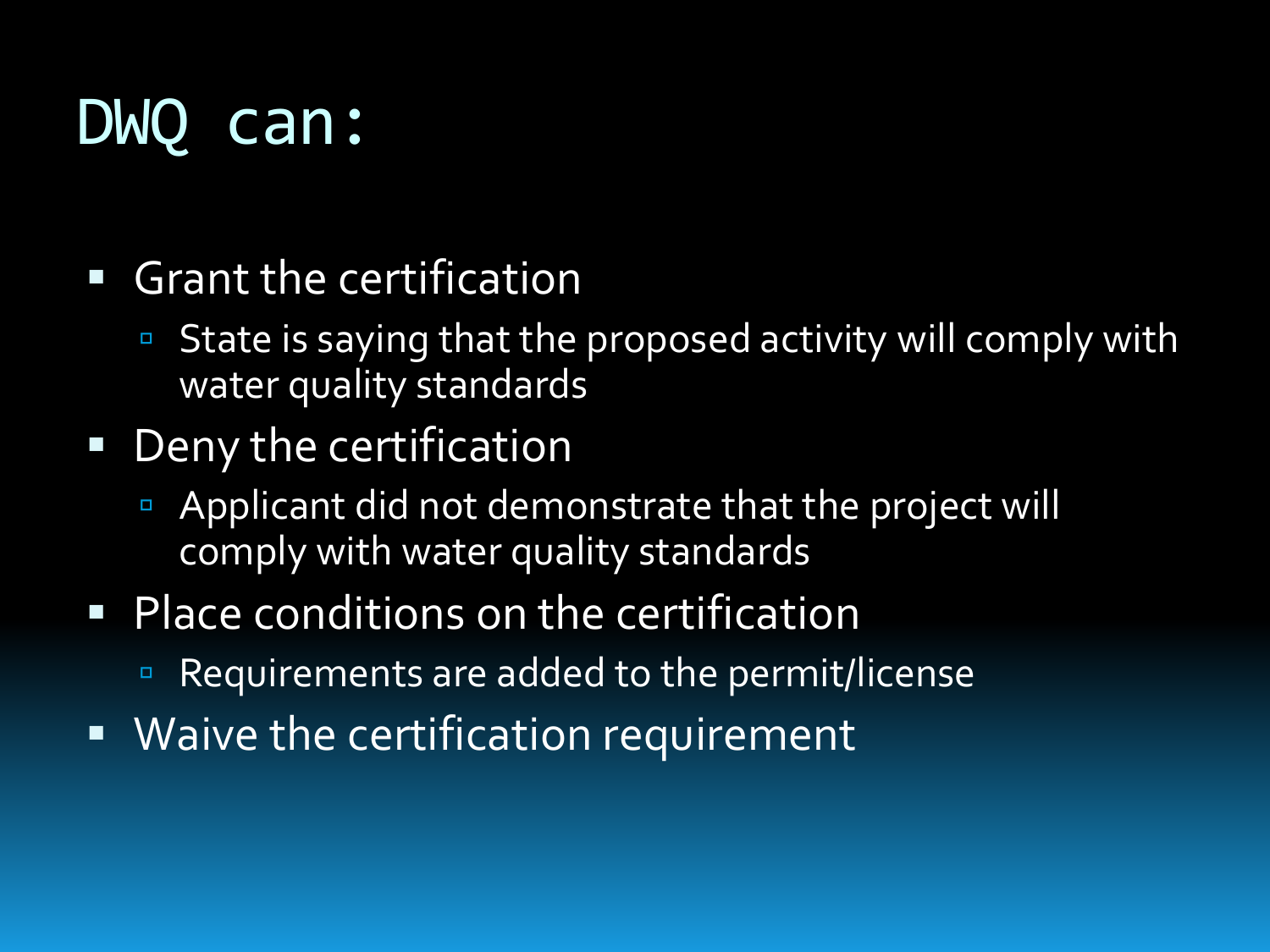## DWQ can:

- Grant the certification
	- State is saying that the proposed activity will comply with water quality standards
- **Deny the certification** 
	- Applicant did not demonstrate that the project will comply with water quality standards
- **Place conditions on the certification** 
	- Requirements are added to the permit/license
- **Waive the certification requirement**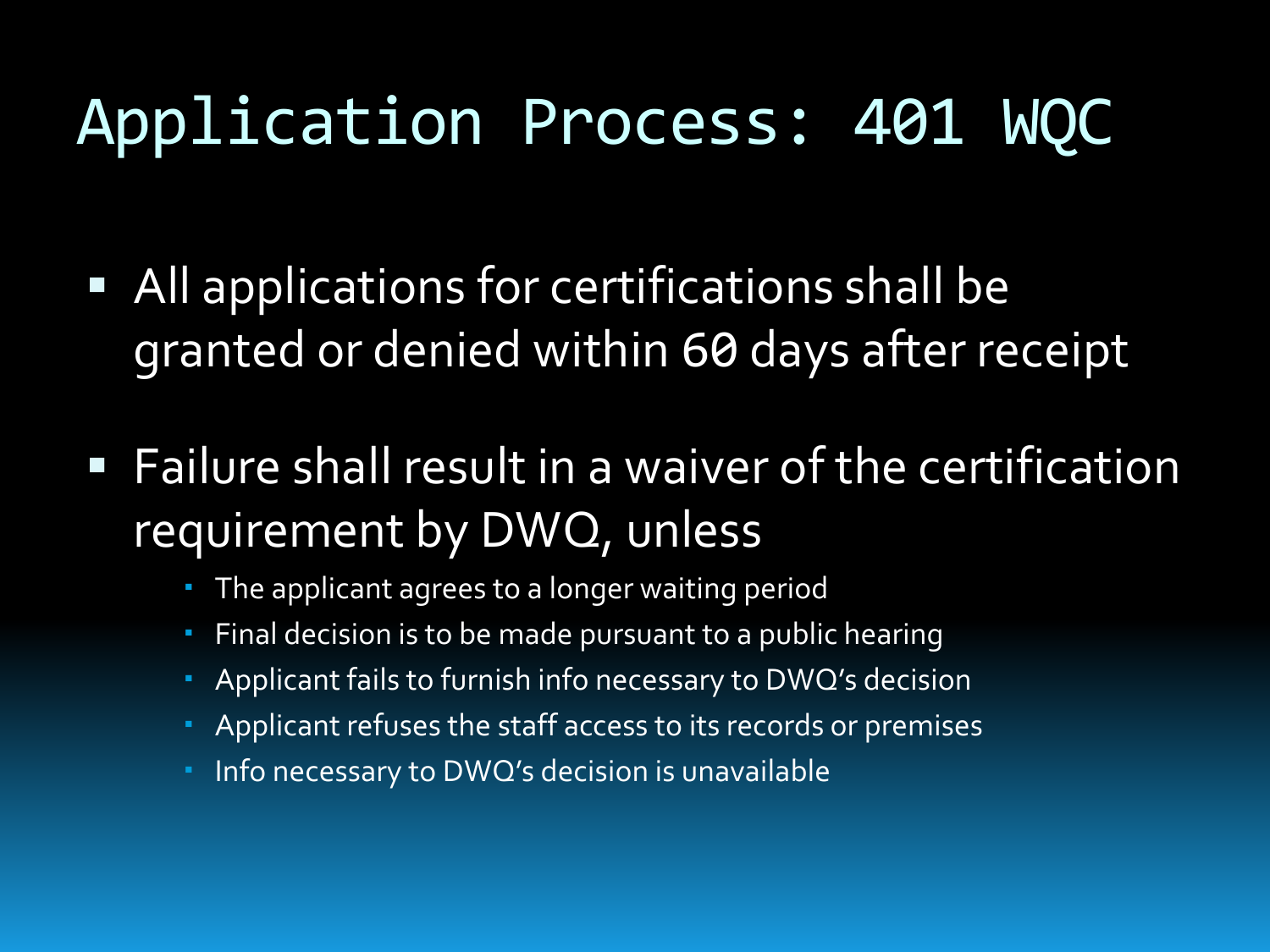## Application Process: 401 WQC

- All applications for certifications shall be granted or denied within 60 days after receipt
- **Failure shall result in a waiver of the certification** requirement by DWQ, unless
	- The applicant agrees to a longer waiting period
	- Final decision is to be made pursuant to a public hearing
	- Applicant fails to furnish info necessary to DWQ's decision
	- Applicant refuses the staff access to its records or premises
	- Info necessary to DWQ's decision is unavailable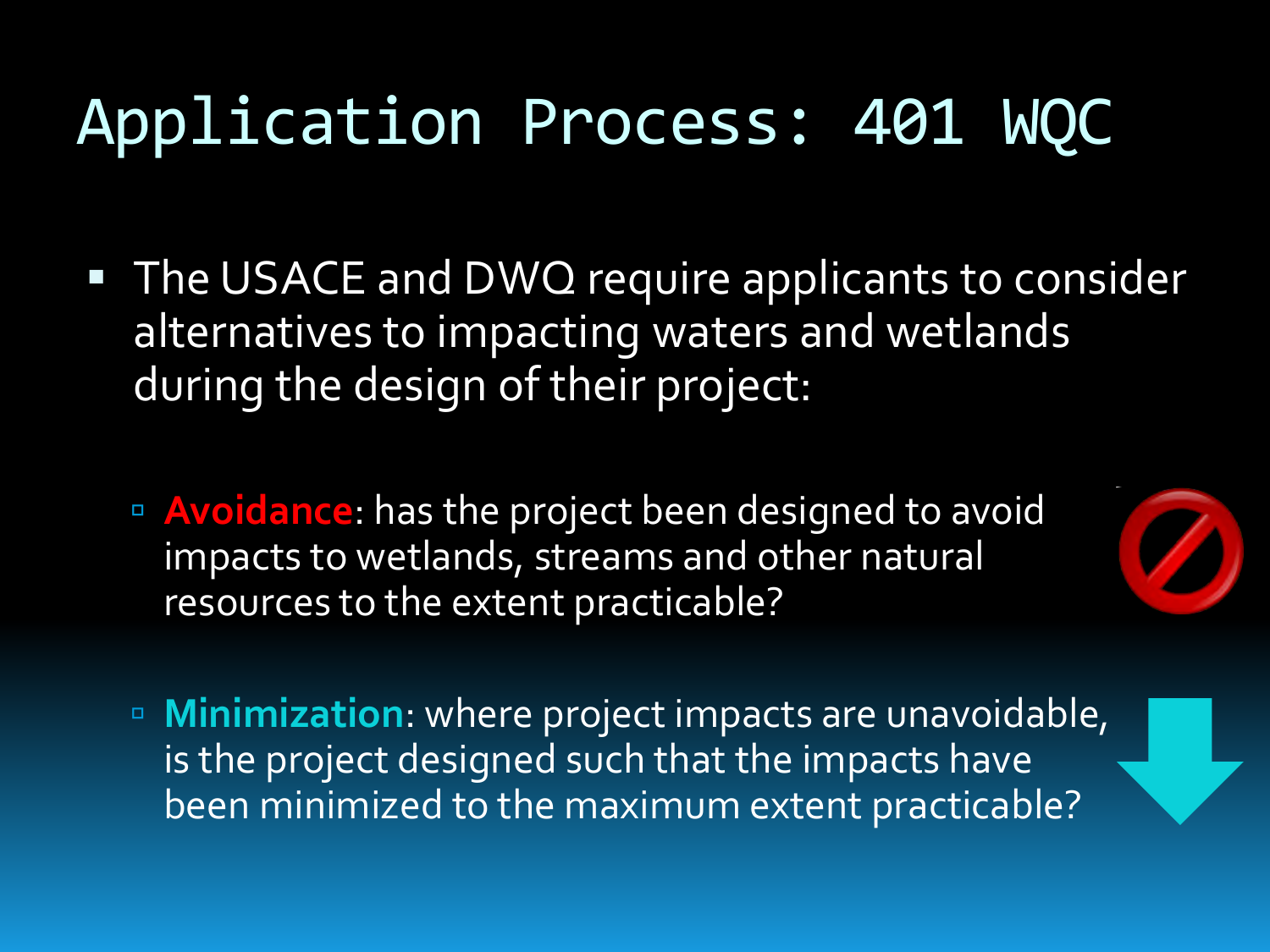## Application Process: 401 WQC

- **The USACE and DWQ require applicants to consider** alternatives to impacting waters and wetlands during the design of their project:
	- **Avoidance:** has the project been designed to avoid impacts to wetlands, streams and other natural resources to the extent practicable?



 **Minimization**: where project impacts are unavoidable, is the project designed such that the impacts have been minimized to the maximum extent practicable?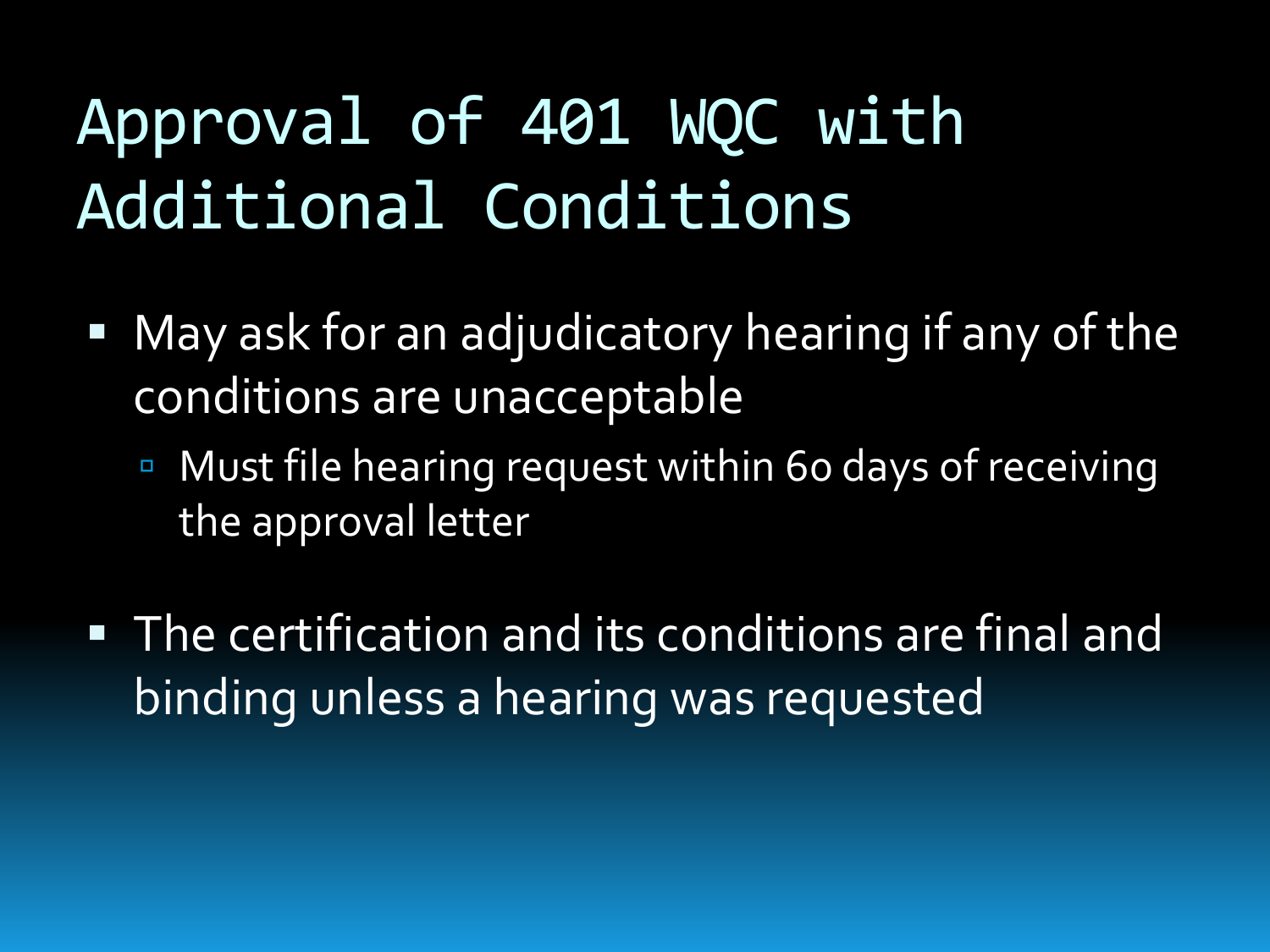# Approval of 401 WQC with Additional Conditions

- May ask for an adjudicatory hearing if any of the conditions are unacceptable
	- Must file hearing request within 60 days of receiving the approval letter
- The certification and its conditions are final and binding unless a hearing was requested